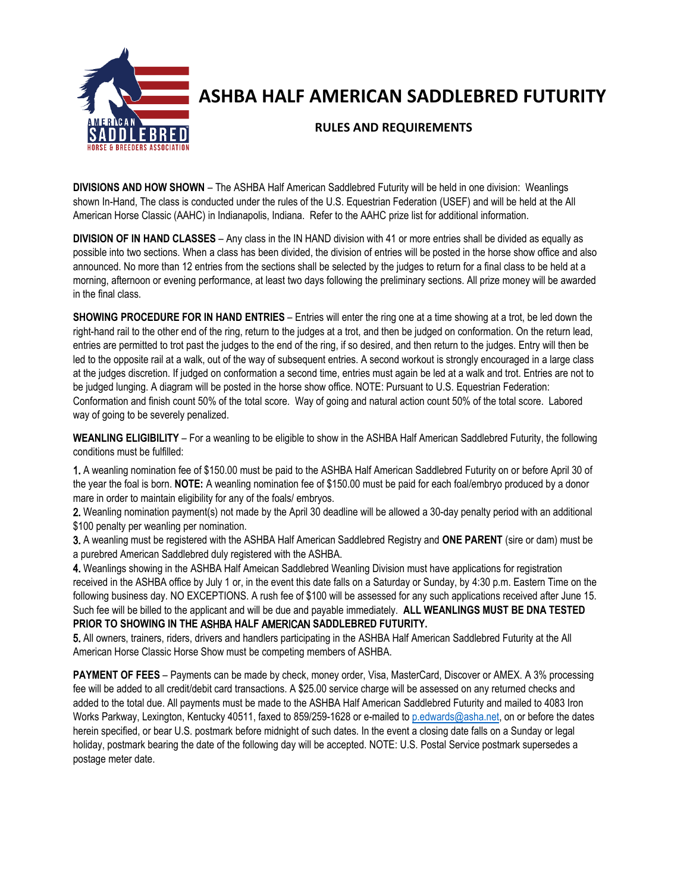

# **ASHBA HALF AMERICAN SADDLEBRED FUTURITY**

## **RULES AND REQUIREMENTS**

**DIVISIONS AND HOW SHOWN** – The ASHBA Half American Saddlebred Futurity will be held in one division: Weanlings shown In-Hand, The class is conducted under the rules of the U.S. Equestrian Federation (USEF) and will be held at the All American Horse Classic (AAHC) in Indianapolis, Indiana. Refer to the AAHC prize list for additional information.

**DIVISION OF IN HAND CLASSES** – Any class in the IN HAND division with 41 or more entries shall be divided as equally as possible into two sections. When a class has been divided, the division of entries will be posted in the horse show office and also announced. No more than 12 entries from the sections shall be selected by the judges to return for a final class to be held at a morning, afternoon or evening performance, at least two days following the preliminary sections. All prize money will be awarded in the final class.

**SHOWING PROCEDURE FOR IN HAND ENTRIES** – Entries will enter the ring one at a time showing at a trot, be led down the right-hand rail to the other end of the ring, return to the judges at a trot, and then be judged on conformation. On the return lead, entries are permitted to trot past the judges to the end of the ring, if so desired, and then return to the judges. Entry will then be led to the opposite rail at a walk, out of the way of subsequent entries. A second workout is strongly encouraged in a large class at the judges discretion. If judged on conformation a second time, entries must again be led at a walk and trot. Entries are not to be judged lunging. A diagram will be posted in the horse show office. NOTE: Pursuant to U.S. Equestrian Federation: Conformation and finish count 50% of the total score. Way of going and natural action count 50% of the total score. Labored way of going to be severely penalized.

**WEANLING ELIGIBILITY** – For a weanling to be eligible to show in the ASHBA Half American Saddlebred Futurity, the following conditions must be fulfilled:

1. A weanling nomination fee of \$150.00 must be paid to the ASHBA Half American Saddlebred Futurity on or before April 30 of the year the foal is born. **NOTE:** A weanling nomination fee of \$150.00 must be paid for each foal/embryo produced by a donor mare in order to maintain eligibility for any of the foals/ embryos.

2. Weanling nomination payment(s) not made by the April 30 deadline will be allowed a 30-day penalty period with an additional \$100 penalty per weanling per nomination.

3. A weanling must be registered with the ASHBA Half American Saddlebred Registry and **ONE PARENT** (sire or dam) must be a purebred American Saddlebred duly registered with the ASHBA.

4. Weanlings showing in the ASHBA Half Ameican Saddlebred Weanling Division must have applications for registration received in the ASHBA office by July 1 or, in the event this date falls on a Saturday or Sunday, by 4:30 p.m. Eastern Time on the following business day. NO EXCEPTIONS. A rush fee of \$100 will be assessed for any such applications received after June 15. Such fee will be billed to the applicant and will be due and payable immediately. **ALL WEANLINGS MUST BE DNA TESTED PRIOR TO SHOWING IN THE** ASHBA **HALF** AMERICAN **SADDLEBRED FUTURITY.**

5. All owners, trainers, riders, drivers and handlers participating in the ASHBA Half American Saddlebred Futurity at the All American Horse Classic Horse Show must be competing members of ASHBA.

**PAYMENT OF FEES** – Payments can be made by check, money order, Visa, MasterCard, Discover or AMEX. A 3% processing fee will be added to all credit/debit card transactions. A \$25.00 service charge will be assessed on any returned checks and added to the total due. All payments must be made to the ASHBA Half American Saddlebred Futurity and mailed to 4083 Iron Works Parkway, Lexington, Kentucky 40511, faxed to 859/259-1628 or e-mailed to [p.edwards@asha.net,](mailto:p.edwards@asha.net) on or before the dates herein specified, or bear U.S. postmark before midnight of such dates. In the event a closing date falls on a Sunday or legal holiday, postmark bearing the date of the following day will be accepted. NOTE: U.S. Postal Service postmark supersedes a postage meter date.